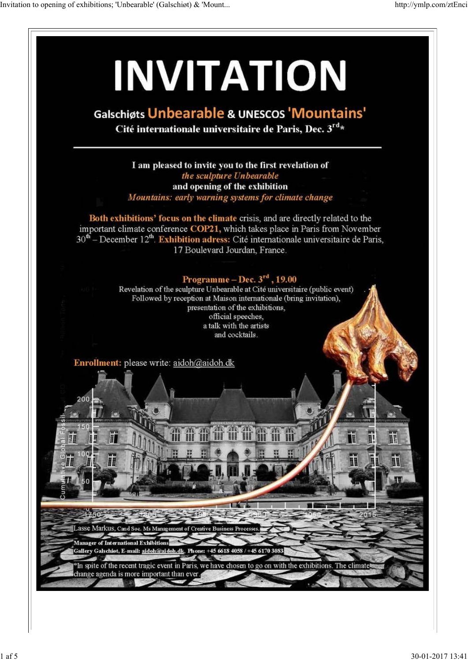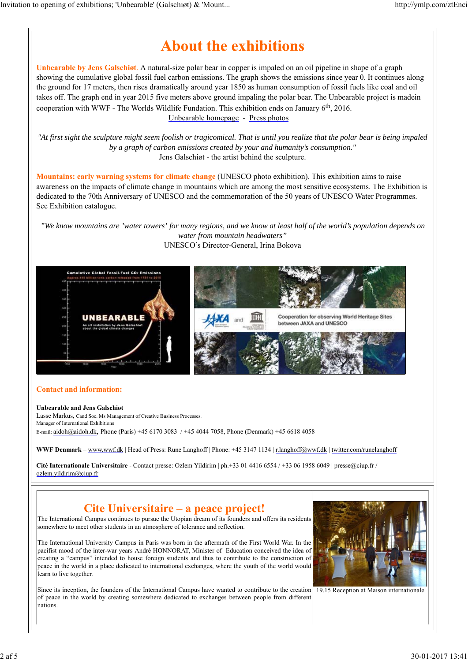# **About the exhibitions**

**Unbearable by Jens Galschiøt**. A natural-size polar bear in copper is impaled on an oil pipeline in shape of a graph showing the cumulative global fossil fuel carbon emissions. The graph shows the emissions since year 0. It continues along the ground for 17 meters, then rises dramatically around year 1850 as human consumption of fossil fuels like coal and oil takes off. The graph end in year 2015 five meters above ground impaling the polar bear. The Unbearable project is madein cooperation with WWF - The Worlds Wildlife Fundation. This exhibition ends on January  $6<sup>th</sup>$ , 2016. Unbearable homepage - Press photos

*"At first sight the sculpture might seem foolish or tragicomical. That is until you realize that the polar bear is being impaled by a graph of carbon emissions created by your and humanity's consumption."* Jens Galschiøt - the artist behind the sculpture.

**Mountains: early warning systems for climate change** (UNESCO photo exhibition). This exhibition aims to raise awareness on the impacts of climate change in mountains which are among the most sensitive ecosystems. The Exhibition is dedicated to the 70th Anniversary of UNESCO and the commemoration of the 50 years of UNESCO Water Programmes. See Exhibition catalogue.

*"We know mountains are 'water towers' for many regions, and we know at least half of the world's population depends on water from mountain headwaters"* UNESCO's Director-General, Irina Bokova



### **Contact and information:**

#### **Unbearable and Jens Galschiøt**

Lasse Markus, Cand Soc. Ms Management of Creative Business Processes. Manager of International Exhibitions

E-mail: aidoh@aidoh.dk, Phone (Paris) +45 6170 3083 / +45 4044 7058, Phone (Denmark) +45 6618 4058

**WWF Denmark** – www.wwf.dk | Head of Press: Rune Langhoff | Phone: +45 3147 1134 | r.langhoff@wwf.dk | twitter.com/runelanghoff

**Cité Internationale Universitaire** - Contact presse: Ozlem Yildirim | ph.+33 01 4416 6554 / +33 06 1958 6049 | presse@ciup.fr / ozlem.yildirim@ciup.fr

## **Cite Universitaire – a peace project!**

The International Campus continues to pursue the Utopian dream of its founders and offers its residents somewhere to meet other students in an atmosphere of tolerance and reflection.

The International University Campus in Paris was born in the aftermath of the First World War. In the pacifist mood of the inter-war years André HONNORAT, Minister of Education conceived the idea of creating a "campus" intended to house foreign students and thus to contribute to the construction of peace in the world in a place dedicated to international exchanges, where the youth of the world would learn to live together.

Since its inception, the founders of the International Campus have wanted to contribute to the creation  $\boxed{19.15}$  Reception at Maison internationale of peace in the world by creating somewhere dedicated to exchanges between people from different nations.

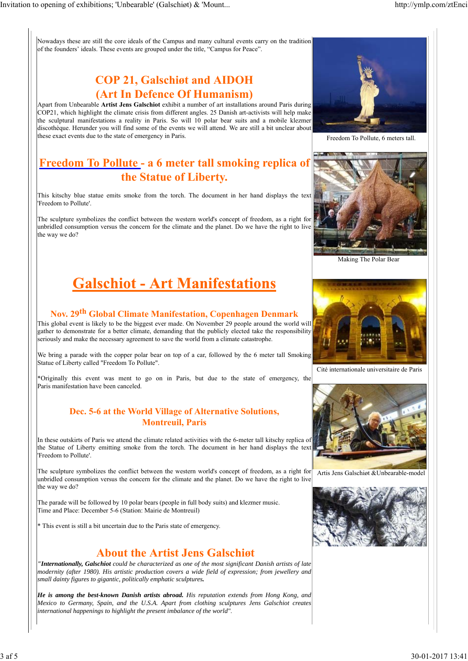Nowadays these are still the core ideals of the Campus and many cultural events carry on the tradition of the founders' ideals. These events are grouped under the title, "Campus for Peace".

## **COP 21, Galschiøt and AIDOH (Art In Defence Of Humanism)**

Apart from Unbearable **Artist Jens Galschiot** exhibit a number of art installations around Paris during COP21, which highlight the climate crisis from different angles. 25 Danish art-activists will help make the sculptural manifestations a reality in Paris. So will 10 polar bear suits and a mobile klezmer discothèque. Herunder you will find some of the events we will attend. We are still a bit unclear about these exact events due to the state of emergency in Paris.

## **Freedom To Pollute - a 6 meter tall smoking replica of the Statue of Liberty.**

This kitschy blue statue emits smoke from the torch. The document in her hand displays the text 'Freedom to Pollute'.

The sculpture symbolizes the conflict between the western world's concept of freedom, as a right for unbridled consumption versus the concern for the climate and the planet. Do we have the right to live the way we do?



Freedom To Pollute, 6 meters tall.



Making The Polar Bear

# **Galschiot - Art Manifestations**

# **Nov. 29th Global Climate Manifestation, Copenhagen Denmark**

This global event is likely to be the biggest ever made. On November 29 people around the world will gather to demonstrate for a better climate, demanding that the publicly elected take the responsibility seriously and make the necessary agreement to save the world from a climate catastrophe.

We bring a parade with the copper polar bear on top of a car, followed by the 6 meter tall Smoking Statue of Liberty called "Freedom To Pollute".

\*Originally this event was ment to go on in Paris, but due to the state of emergency, the Paris manifestation have been canceled.

## **Dec. 5-6 at the World Village of Alternative Solutions, Montreuil, Paris**

In these outskirts of Paris we attend the climate related activities with the 6-meter tall kitschy replica of the Statue of Liberty emitting smoke from the torch. The document in her hand displays the text 'Freedom to Pollute'.

The sculpture symbolizes the conflict between the western world's concept of freedom, as a right for unbridled consumption versus the concern for the climate and the planet. Do we have the right to live the way we do?

The parade will be followed by 10 polar bears (people in full body suits) and klezmer music. Time and Place: December 5-6 (Station: Mairie de Montreuil)

\* This event is still a bit uncertain due to the Paris state of emergency.

## **About the Artist Jens Galschiøt**

*"Internationally, Galschiot could be characterized as one of the most significant Danish artists of late modernity (after 1980). His artistic production covers a wide field of expression; from jewellery and small dainty figures to gigantic, politically emphatic sculptures.*

*He is among the best-known Danish artists abroad. His reputation extends from Hong Kong, and Mexico to Germany, Spain, and the U.S.A. Apart from clothing sculptures Jens Galschiot creates international happenings to highlight the present imbalance of the world"*.



Cité internationale universitaire de Paris



Artis Jens Galschiøt &Unbearable-model

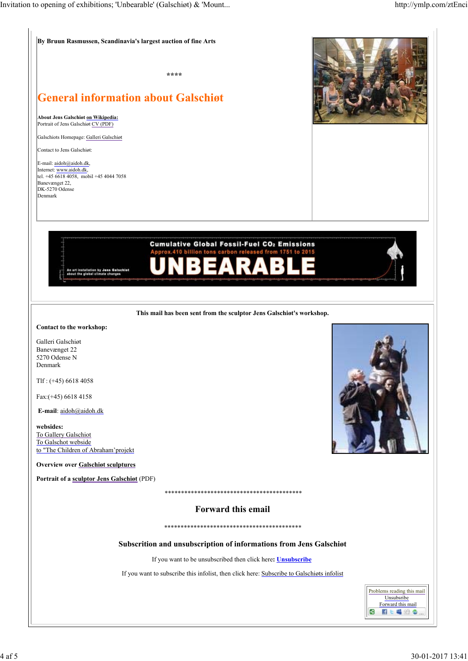